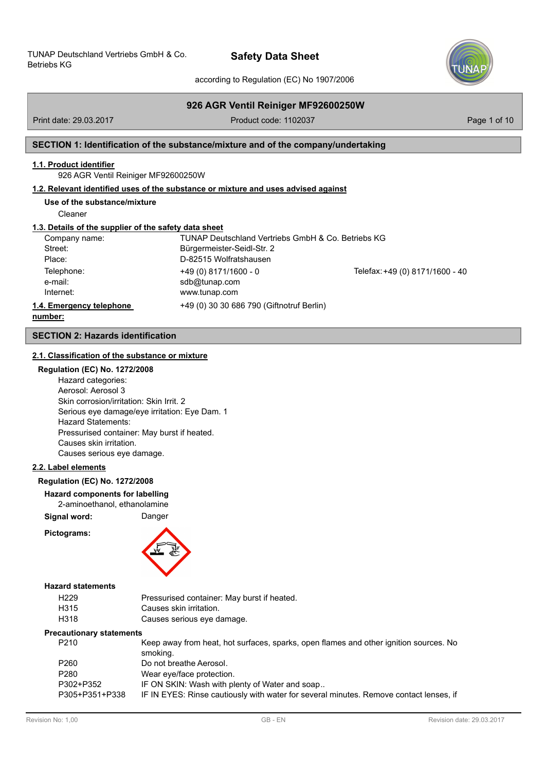

according to Regulation (EC) No 1907/2006

# **926 AGR Ventil Reiniger MF92600250W**

Print date: 29.03.2017 **Product code: 1102037** Product code: 1102037

# **SECTION 1: Identification of the substance/mixture and of the company/undertaking**

# **1.1. Product identifier**

926 AGR Ventil Reiniger MF92600250W

# **1.2. Relevant identified uses of the substance or mixture and uses advised against**

**Use of the substance/mixture**

Cleaner

### **1.3. Details of the supplier of the safety data sheet**

| Company name:            | TUNAP Deutschland Vertriebs GmbH & Co. Betriebs KG |                                 |
|--------------------------|----------------------------------------------------|---------------------------------|
| Street:                  | Bürgermeister-Seidl-Str. 2                         |                                 |
| Place:                   | D-82515 Wolfratshausen                             |                                 |
| Telephone:               | $+49(0)8171/1600 - 0$                              | Telefax: +49 (0) 8171/1600 - 40 |
| e-mail:                  | sdb@tunap.com                                      |                                 |
| Internet:                | www.tunap.com                                      |                                 |
| 1.4. Emergency telephone | +49 (0) 30 30 686 790 (Giftnotruf Berlin)          |                                 |
| numhor:                  |                                                    |                                 |

**number:**

# **SECTION 2: Hazards identification**

### **2.1. Classification of the substance or mixture**

### **Regulation (EC) No. 1272/2008**

Hazard categories: Aerosol: Aerosol 3 Skin corrosion/irritation: Skin Irrit. 2 Serious eye damage/eye irritation: Eye Dam. 1 Hazard Statements: Pressurised container: May burst if heated. Causes skin irritation. Causes serious eye damage.

### **2.2. Label elements**

#### **Regulation (EC) No. 1272/2008**

#### **Hazard components for labelling**

2-aminoethanol, ethanolamine

**Signal word:** Danger

**Pictograms:**



### **Hazard statements**

| H <sub>229</sub> | Pressurised container: May burst if heated. |
|------------------|---------------------------------------------|
| H315             | Causes skin irritation.                     |
| H318             | Causes serious eye damage.                  |

#### **Precautionary statements**

| P210           | Keep away from heat, hot surfaces, sparks, open flames and other ignition sources. No<br>smoking. |
|----------------|---------------------------------------------------------------------------------------------------|
| P260           | Do not breathe Aerosol.                                                                           |
| P280           | Wear eye/face protection.                                                                         |
| P302+P352      | IF ON SKIN: Wash with plenty of Water and soap                                                    |
| P305+P351+P338 | IF IN EYES: Rinse cautiously with water for several minutes. Remove contact lenses, if            |
|                |                                                                                                   |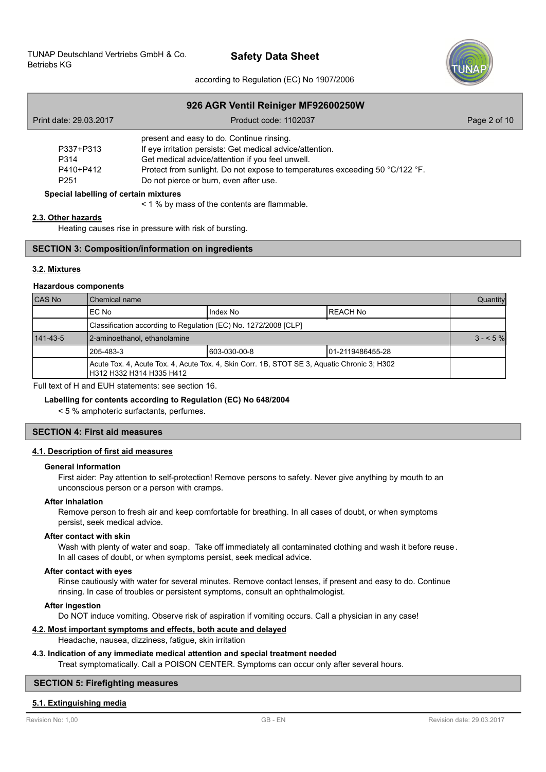

according to Regulation (EC) No 1907/2006

|                                       | 926 AGR Ventil Reiniger MF92600250W                                          |              |
|---------------------------------------|------------------------------------------------------------------------------|--------------|
| Print date: 29.03.2017                | Product code: 1102037                                                        | Page 2 of 10 |
|                                       | present and easy to do. Continue rinsing.                                    |              |
| P337+P313                             | If eye irritation persists: Get medical advice/attention.                    |              |
| P314                                  | Get medical advice/attention if you feel unwell.                             |              |
| P410+P412                             | Protect from sunlight. Do not expose to temperatures exceeding 50 °C/122 °F. |              |
| P <sub>251</sub>                      | Do not pierce or burn, even after use.                                       |              |
| Special labelling of certain mixtures |                                                                              |              |
|                                       | < 1 % by mass of the contents are flammable.                                 |              |

#### **2.3. Other hazards**

Heating causes rise in pressure with risk of bursting.

# **SECTION 3: Composition/information on ingredients**

### **3.2. Mixtures**

#### **Hazardous components**

| <b>CAS No</b>  | l Chemical name                                                                                                         |               |                   | Quantity |
|----------------|-------------------------------------------------------------------------------------------------------------------------|---------------|-------------------|----------|
|                | IEC No                                                                                                                  | Index No      | <b>IREACH No</b>  |          |
|                | Classification according to Regulation (EC) No. 1272/2008 [CLP]                                                         |               |                   |          |
| $141 - 43 - 5$ | 2-aminoethanol, ethanolamine                                                                                            |               |                   |          |
|                | 1205-483-3                                                                                                              | 1603-030-00-8 | 101-2119486455-28 |          |
|                | Acute Tox. 4, Acute Tox. 4, Acute Tox. 4, Skin Corr. 1B, STOT SE 3, Aquatic Chronic 3; H302<br>H312 H332 H314 H335 H412 |               |                   |          |

Full text of H and EUH statements: see section 16.

#### **Labelling for contents according to Regulation (EC) No 648/2004**

< 5 % amphoteric surfactants, perfumes.

# **SECTION 4: First aid measures**

# **4.1. Description of first aid measures**

#### **General information**

First aider: Pay attention to self-protection! Remove persons to safety. Never give anything by mouth to an unconscious person or a person with cramps.

#### **After inhalation**

Remove person to fresh air and keep comfortable for breathing. In all cases of doubt, or when symptoms persist, seek medical advice.

#### **After contact with skin**

Wash with plenty of water and soap. Take off immediately all contaminated clothing and wash it before reuse. In all cases of doubt, or when symptoms persist, seek medical advice.

# **After contact with eyes**

Rinse cautiously with water for several minutes. Remove contact lenses, if present and easy to do. Continue rinsing. In case of troubles or persistent symptoms, consult an ophthalmologist.

#### **After ingestion**

Do NOT induce vomiting. Observe risk of aspiration if vomiting occurs. Call a physician in any case!

# **4.2. Most important symptoms and effects, both acute and delayed**

Headache, nausea, dizziness, fatigue, skin irritation

#### **4.3. Indication of any immediate medical attention and special treatment needed**

Treat symptomatically. Call a POISON CENTER. Symptoms can occur only after several hours.

#### **SECTION 5: Firefighting measures**

#### **5.1. Extinguishing media**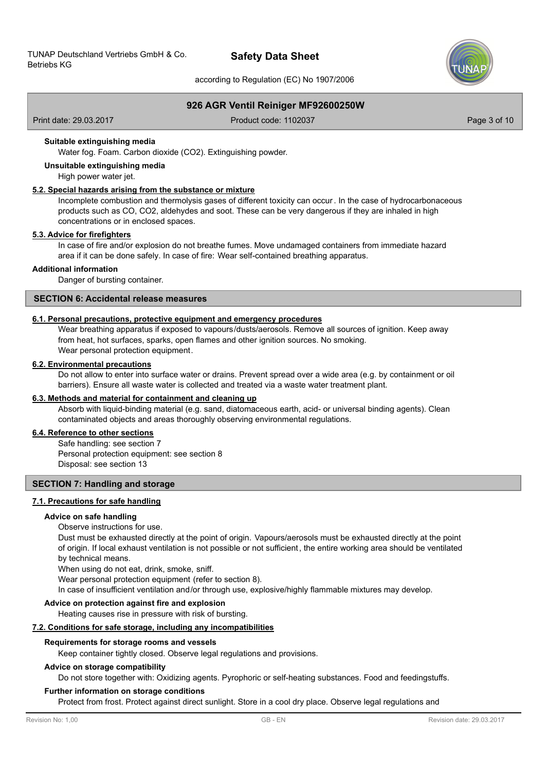

according to Regulation (EC) No 1907/2006

# **926 AGR Ventil Reiniger MF92600250W**

Print date: 29.03.2017 **Product code: 1102037** Product code: 1102037 **Page 3 of 10** 

#### **Suitable extinguishing media**

Water fog. Foam. Carbon dioxide (CO2). Extinguishing powder.

# **Unsuitable extinguishing media**

High power water jet.

#### **5.2. Special hazards arising from the substance or mixture**

Incomplete combustion and thermolysis gases of different toxicity can occur. In the case of hydrocarbonaceous products such as CO, CO2, aldehydes and soot. These can be very dangerous if they are inhaled in high concentrations or in enclosed spaces.

#### **5.3. Advice for firefighters**

In case of fire and/or explosion do not breathe fumes. Move undamaged containers from immediate hazard area if it can be done safely. In case of fire: Wear self-contained breathing apparatus.

#### **Additional information**

Danger of bursting container.

# **SECTION 6: Accidental release measures**

#### **6.1. Personal precautions, protective equipment and emergency procedures**

Wear breathing apparatus if exposed to vapours/dusts/aerosols. Remove all sources of ignition. Keep away from heat, hot surfaces, sparks, open flames and other ignition sources. No smoking. Wear personal protection equipment.

#### **6.2. Environmental precautions**

Do not allow to enter into surface water or drains. Prevent spread over a wide area (e.g. by containment or oil barriers). Ensure all waste water is collected and treated via a waste water treatment plant.

#### **6.3. Methods and material for containment and cleaning up**

Absorb with liquid-binding material (e.g. sand, diatomaceous earth, acid- or universal binding agents). Clean contaminated objects and areas thoroughly observing environmental regulations.

### **6.4. Reference to other sections**

Safe handling: see section 7 Personal protection equipment: see section 8 Disposal: see section 13

### **SECTION 7: Handling and storage**

#### **7.1. Precautions for safe handling**

#### **Advice on safe handling**

#### Observe instructions for use.

Dust must be exhausted directly at the point of origin. Vapours/aerosols must be exhausted directly at the point of origin. If local exhaust ventilation is not possible or not sufficient, the entire working area should be ventilated by technical means.

When using do not eat, drink, smoke, sniff.

Wear personal protection equipment (refer to section 8).

In case of insufficient ventilation and/or through use, explosive/highly flammable mixtures may develop.

#### **Advice on protection against fire and explosion**

Heating causes rise in pressure with risk of bursting.

#### **7.2. Conditions for safe storage, including any incompatibilities**

# **Requirements for storage rooms and vessels**

Keep container tightly closed. Observe legal regulations and provisions.

#### **Advice on storage compatibility**

Do not store together with: Oxidizing agents. Pyrophoric or self-heating substances. Food and feedingstuffs.

#### **Further information on storage conditions**

Protect from frost. Protect against direct sunlight. Store in a cool dry place. Observe legal regulations and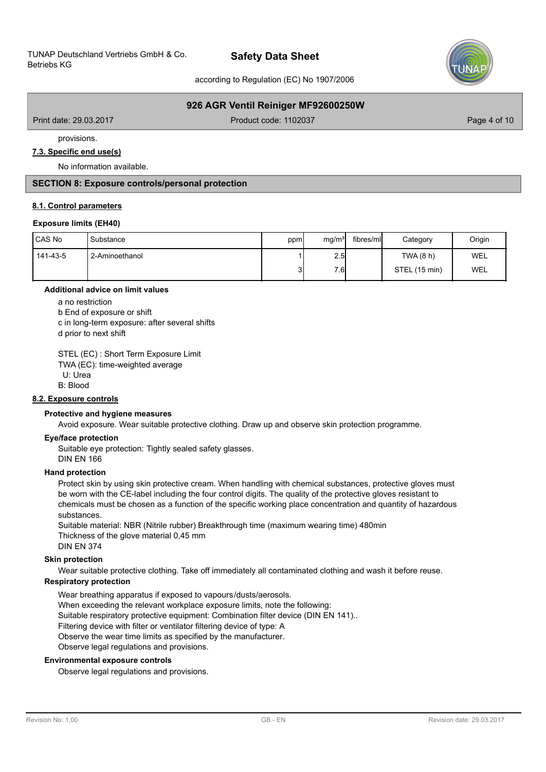

according to Regulation (EC) No 1907/2006

# **926 AGR Ventil Reiniger MF92600250W**

Print date: 29.03.2017 **Product code: 1102037** Product code: 1102037

provisions.

### **7.3. Specific end use(s)**

No information available.

# **SECTION 8: Exposure controls/personal protection**

#### **8.1. Control parameters**

#### **Exposure limits (EH40)**

| CAS No   | Substance      | ppm | mg/m <sup>3</sup> | fibres/ml | Category      | Origin |
|----------|----------------|-----|-------------------|-----------|---------------|--------|
| 141-43-5 | 2-Aminoethanol |     | 2.5               |           | TWA (8 h)     | WEL    |
|          |                | 3   | 7.6               |           | STEL (15 min) | WEL    |

#### **Additional advice on limit values**

a no restriction

b End of exposure or shift

c in long-term exposure: after several shifts

d prior to next shift

STEL (EC) : Short Term Exposure Limit

TWA (EC): time-weighted average

U: Urea

B: Blood

### **8.2. Exposure controls**

### **Protective and hygiene measures**

Avoid exposure. Wear suitable protective clothing. Draw up and observe skin protection programme.

#### **Eye/face protection**

Suitable eye protection: Tightly sealed safety glasses.

DIN EN 166

### **Hand protection**

Protect skin by using skin protective cream. When handling with chemical substances, protective gloves must be worn with the CE-label including the four control digits. The quality of the protective gloves resistant to chemicals must be chosen as a function of the specific working place concentration and quantity of hazardous substances.

Suitable material: NBR (Nitrile rubber) Breakthrough time (maximum wearing time) 480min Thickness of the glove material 0,45 mm DIN EN 374

# **Skin protection**

Wear suitable protective clothing. Take off immediately all contaminated clothing and wash it before reuse.

# **Respiratory protection**

Wear breathing apparatus if exposed to vapours/dusts/aerosols. When exceeding the relevant workplace exposure limits, note the following: Suitable respiratory protective equipment: Combination filter device (DIN EN 141).. Filtering device with filter or ventilator filtering device of type: A Observe the wear time limits as specified by the manufacturer. Observe legal regulations and provisions.

#### **Environmental exposure controls**

Observe legal regulations and provisions.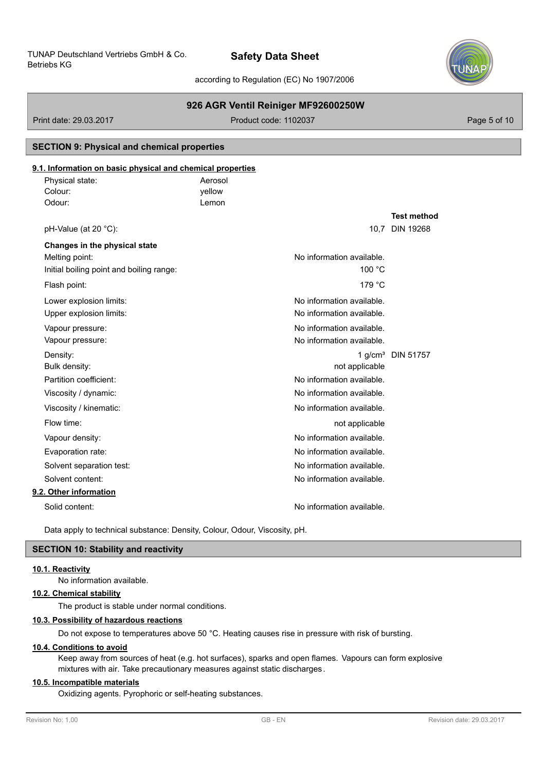

according to Regulation (EC) No 1907/2006

# **926 AGR Ventil Reiniger MF92600250W**

Print date: 29.03.2017 **Product code: 1102037** Product code: 1102037 Page 5 of 10

# **SECTION 9: Physical and chemical properties**

# **9.1. Information on basic physical and chemical properties**

| Physical state:                          | Aerosol |                           |                               |
|------------------------------------------|---------|---------------------------|-------------------------------|
| Colour:                                  | yellow  |                           |                               |
| Odour:                                   | Lemon   |                           |                               |
|                                          |         |                           | <b>Test method</b>            |
| pH-Value (at 20 °C):                     |         |                           | 10.7 DIN 19268                |
| Changes in the physical state            |         |                           |                               |
| Melting point:                           |         | No information available. |                               |
| Initial boiling point and boiling range: |         | 100 °C                    |                               |
| Flash point:                             |         | 179 °C                    |                               |
| Lower explosion limits:                  |         | No information available. |                               |
| Upper explosion limits:                  |         | No information available. |                               |
| Vapour pressure:                         |         | No information available. |                               |
| Vapour pressure:                         |         | No information available. |                               |
| Density:                                 |         |                           | 1 g/cm <sup>3</sup> DIN 51757 |
| Bulk density:                            |         | not applicable            |                               |
| Partition coefficient:                   |         | No information available. |                               |
| Viscosity / dynamic:                     |         | No information available. |                               |
| Viscosity / kinematic:                   |         | No information available. |                               |
| Flow time:                               |         | not applicable            |                               |
| Vapour density:                          |         | No information available. |                               |
| Evaporation rate:                        |         | No information available. |                               |
| Solvent separation test:                 |         | No information available. |                               |
| Solvent content:                         |         | No information available. |                               |
| 9.2. Other information                   |         |                           |                               |
| Solid content:                           |         | No information available. |                               |
|                                          |         |                           |                               |

Data apply to technical substance: Density, Colour, Odour, Viscosity, pH.

# **SECTION 10: Stability and reactivity**

# **10.1. Reactivity**

No information available.

# **10.2. Chemical stability**

The product is stable under normal conditions.

# **10.3. Possibility of hazardous reactions**

Do not expose to temperatures above 50 °C. Heating causes rise in pressure with risk of bursting.

# **10.4. Conditions to avoid**

Keep away from sources of heat (e.g. hot surfaces), sparks and open flames. Vapours can form explosive mixtures with air. Take precautionary measures against static discharges.

# **10.5. Incompatible materials**

Oxidizing agents. Pyrophoric or self-heating substances.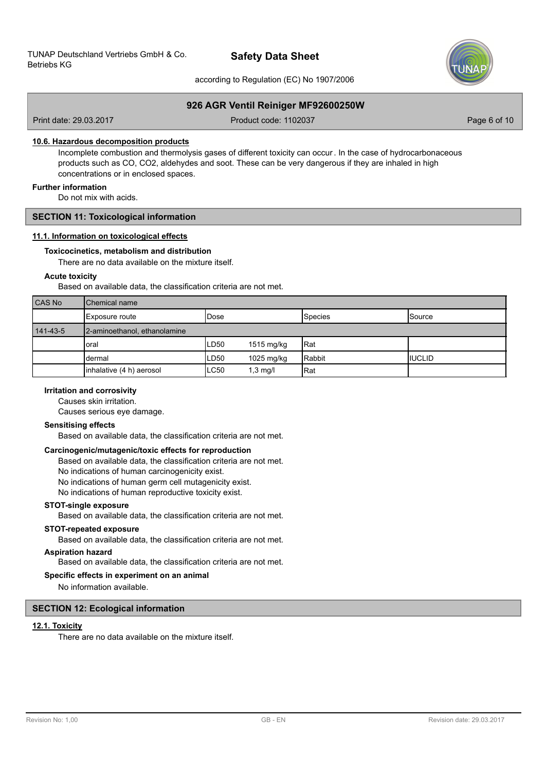

according to Regulation (EC) No 1907/2006

# **926 AGR Ventil Reiniger MF92600250W**

Print date: 29.03.2017 **Product code: 1102037** Product code: 1102037

#### **10.6. Hazardous decomposition products**

Incomplete combustion and thermolysis gases of different toxicity can occur. In the case of hydrocarbonaceous products such as CO, CO2, aldehydes and soot. These can be very dangerous if they are inhaled in high concentrations or in enclosed spaces.

### **Further information**

Do not mix with acids.

## **SECTION 11: Toxicological information**

#### **11.1. Information on toxicological effects**

#### **Toxicocinetics, metabolism and distribution**

There are no data available on the mixture itself.

### **Acute toxicity**

Based on available data, the classification criteria are not met.

| <b>CAS No</b> | <b>I</b> Chemical name       |       |            |         |               |
|---------------|------------------------------|-------|------------|---------|---------------|
|               | Exposure route               | IDose |            | Species | <b>Source</b> |
| 141-43-5      | 2-aminoethanol, ethanolamine |       |            |         |               |
|               | oral                         | LD50  | 1515 mg/kg | Rat     |               |
|               | dermal                       | LD50  | 1025 mg/kg | Rabbit  | IIUCLID       |
|               | inhalative (4 h) aerosol     | ILC50 | $1,3$ mg/l | Rat     |               |

### **Irritation and corrosivity**

Causes skin irritation.

Causes serious eye damage.

#### **Sensitising effects**

Based on available data, the classification criteria are not met.

#### **Carcinogenic/mutagenic/toxic effects for reproduction**

Based on available data, the classification criteria are not met. No indications of human carcinogenicity exist. No indications of human germ cell mutagenicity exist. No indications of human reproductive toxicity exist.

#### **STOT-single exposure**

Based on available data, the classification criteria are not met.

# **STOT-repeated exposure**

Based on available data, the classification criteria are not met.

# **Aspiration hazard**

Based on available data, the classification criteria are not met.

#### **Specific effects in experiment on an animal**

No information available.

# **SECTION 12: Ecological information**

# **12.1. Toxicity**

There are no data available on the mixture itself.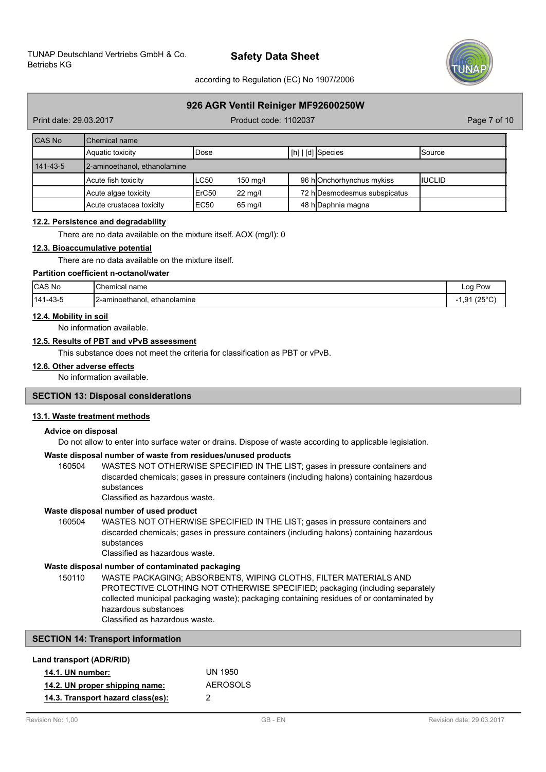

according to Regulation (EC) No 1907/2006

# **926 AGR Ventil Reiniger MF92600250W**

Print date: 29.03.2017 **Product code: 1102037** Product code: 1102037

| <b>CAS No</b>  | Chemical name                |        |                   |  |                                     |                 |
|----------------|------------------------------|--------|-------------------|--|-------------------------------------|-----------------|
|                | Aquatic toxicity             | l Dose |                   |  | $\lfloor$ [h] $\lfloor$ [d] Species | <b>I</b> Source |
| $141 - 43 - 5$ | 2-aminoethanol, ethanolamine |        |                   |  |                                     |                 |
|                | Acute fish toxicity          | LC50   | $150$ ma/l        |  | 96 hOnchorhynchus mykiss            | <b>IIUCLID</b>  |
|                | Acute algae toxicity         | ErC50  | $22 \text{ mq/l}$ |  | 72 h Desmodesmus subspicatus        |                 |
|                | Acute crustacea toxicity     | EC50   | 65 mg/l           |  | 48 h Daphnia magna                  |                 |

# **12.2. Persistence and degradability**

There are no data available on the mixture itself. AOX (mg/l): 0

#### **12.3. Bioaccumulative potential**

There are no data available on the mixture itself.

### **Partition coefficient n-octanol/water**

| CAS No   | Chemical<br>' name                   | LOO 1<br><b>POW</b>                 |
|----------|--------------------------------------|-------------------------------------|
| 141-43-5 | 2-aminoethanol.<br>ethanolamine<br>. | $125^{\circ}C$<br><b>01</b><br>ت, ا |

#### **12.4. Mobility in soil**

No information available.

### **12.5. Results of PBT and vPvB assessment**

This substance does not meet the criteria for classification as PBT or vPvB.

### **12.6. Other adverse effects**

No information available.

### **SECTION 13: Disposal considerations**

#### **13.1. Waste treatment methods**

# **Advice on disposal**

Do not allow to enter into surface water or drains. Dispose of waste according to applicable legislation.

#### **Waste disposal number of waste from residues/unused products**

160504 WASTES NOT OTHERWISE SPECIFIED IN THE LIST; gases in pressure containers and discarded chemicals; gases in pressure containers (including halons) containing hazardous substances

Classified as hazardous waste.

# **Waste disposal number of used product**

WASTES NOT OTHERWISE SPECIFIED IN THE LIST; gases in pressure containers and discarded chemicals; gases in pressure containers (including halons) containing hazardous substances 160504

Classified as hazardous waste.

# **Waste disposal number of contaminated packaging**

WASTE PACKAGING; ABSORBENTS, WIPING CLOTHS, FILTER MATERIALS AND PROTECTIVE CLOTHING NOT OTHERWISE SPECIFIED; packaging (including separately collected municipal packaging waste); packaging containing residues of or contaminated by hazardous substances 150110

Classified as hazardous waste.

# **SECTION 14: Transport information**

| Land transport (ADR/RID)          |          |
|-----------------------------------|----------|
| <b>14.1. UN number:</b>           | UN 1950  |
| 14.2. UN proper shipping name:    | AFROSOLS |
| 14.3. Transport hazard class(es): | 2        |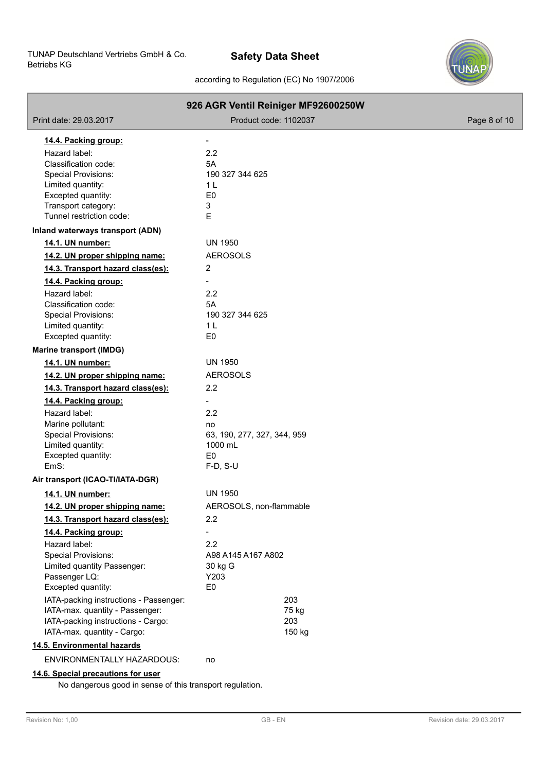

# according to Regulation (EC) No 1907/2006

|                                        | 926 AGR Ventil Reiniger MF92600250W |              |
|----------------------------------------|-------------------------------------|--------------|
| Print date: 29.03.2017                 | Product code: 1102037               | Page 8 of 10 |
| 14.4. Packing group:                   |                                     |              |
| Hazard label:                          | 2.2                                 |              |
| Classification code:                   | 5A                                  |              |
| Special Provisions:                    | 190 327 344 625                     |              |
| Limited quantity:                      | 1 <sup>L</sup>                      |              |
| Excepted quantity:                     | E <sub>0</sub>                      |              |
| Transport category:                    | 3                                   |              |
| Tunnel restriction code:               | E                                   |              |
| Inland waterways transport (ADN)       |                                     |              |
| 14.1. UN number:                       | UN 1950                             |              |
| 14.2. UN proper shipping name:         | <b>AEROSOLS</b>                     |              |
| 14.3. Transport hazard class(es):      | 2                                   |              |
| 14.4. Packing group:                   | $\overline{\phantom{a}}$            |              |
| Hazard label:                          | 2.2                                 |              |
| Classification code:                   | 5A                                  |              |
| <b>Special Provisions:</b>             | 190 327 344 625                     |              |
| Limited quantity:                      | 1 <sub>L</sub>                      |              |
| Excepted quantity:                     | E <sub>0</sub>                      |              |
| <b>Marine transport (IMDG)</b>         |                                     |              |
| 14.1. UN number:                       | <b>UN 1950</b>                      |              |
| 14.2. UN proper shipping name:         | <b>AEROSOLS</b>                     |              |
| 14.3. Transport hazard class(es):      | 2.2                                 |              |
| 14.4. Packing group:                   |                                     |              |
| Hazard label:                          | 2.2                                 |              |
| Marine pollutant:                      | no                                  |              |
| <b>Special Provisions:</b>             | 63, 190, 277, 327, 344, 959         |              |
| Limited quantity:                      | 1000 mL                             |              |
| Excepted quantity:                     | E <sub>0</sub>                      |              |
| EmS:                                   | $F-D, S-U$                          |              |
| Air transport (ICAO-TI/IATA-DGR)       |                                     |              |
| 14.1. UN number:                       | <b>UN 1950</b>                      |              |
| 14.2. UN proper shipping name:         | AEROSOLS, non-flammable             |              |
| 14.3. Transport hazard class(es):      | 2.2                                 |              |
| 14.4. Packing group:                   |                                     |              |
| Hazard label:                          | 2.2                                 |              |
| Special Provisions:                    | A98 A145 A167 A802                  |              |
| Limited quantity Passenger:            | 30 kg G                             |              |
| Passenger LQ:                          | Y203                                |              |
| Excepted quantity:                     | E <sub>0</sub>                      |              |
| IATA-packing instructions - Passenger: | 203                                 |              |
| IATA-max. quantity - Passenger:        | 75 kg                               |              |
| IATA-packing instructions - Cargo:     | 203                                 |              |
| IATA-max. quantity - Cargo:            | 150 kg                              |              |
| 14.5. Environmental hazards            |                                     |              |
| ENVIRONMENTALLY HAZARDOUS:             | no                                  |              |
| 14.6. Special precautions for user     |                                     |              |

No dangerous good in sense of this transport regulation.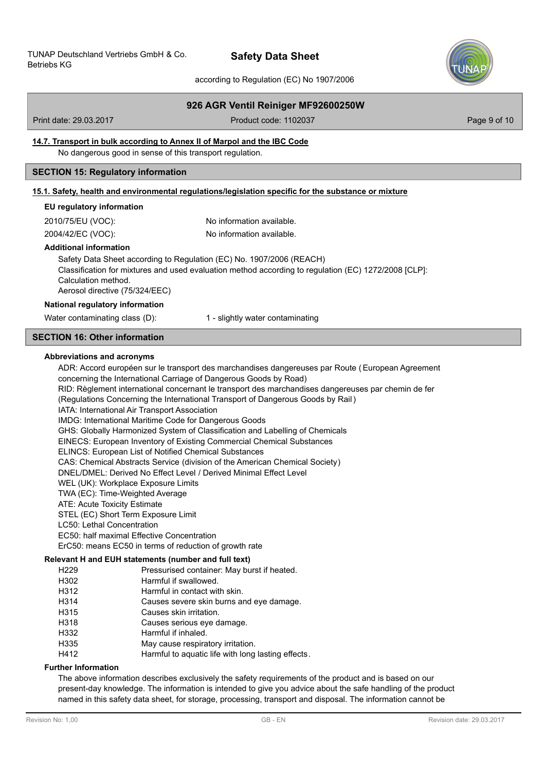

according to Regulation (EC) No 1907/2006

# **926 AGR Ventil Reiniger MF92600250W**

Print date: 29.03.2017 **Product code: 1102037** Product code: 1102037

# **14.7. Transport in bulk according to Annex II of Marpol and the IBC Code**

No dangerous good in sense of this transport regulation.

# **SECTION 15: Regulatory information**

### **15.1. Safety, health and environmental regulations/legislation specific for the substance or mixture**

#### **EU regulatory information**

2010/75/EU (VOC): No information available.

2004/42/EC (VOC): No information available.

#### **Additional information**

Safety Data Sheet according to Regulation (EC) No. 1907/2006 (REACH) Classification for mixtures and used evaluation method according to regulation (EC) 1272/2008 [CLP]: Calculation method. Aerosol directive (75/324/EEC)

#### **National regulatory information**

Water contaminating class (D): 1 - slightly water contaminating

# **SECTION 16: Other information**

#### **Abbreviations and acronyms**

ADR: Accord européen sur le transport des marchandises dangereuses par Route (European Agreement concerning the International Carriage of Dangerous Goods by Road) RID: Règlement international concernant le transport des marchandises dangereuses par chemin de fer (Regulations Concerning the International Transport of Dangerous Goods by Rail) IATA: International Air Transport Association IMDG: International Maritime Code for Dangerous Goods GHS: Globally Harmonized System of Classification and Labelling of Chemicals EINECS: European Inventory of Existing Commercial Chemical Substances ELINCS: European List of Notified Chemical Substances CAS: Chemical Abstracts Service (division of the American Chemical Society) DNEL/DMEL: Derived No Effect Level / Derived Minimal Effect Level WEL (UK): Workplace Exposure Limits TWA (EC): Time-Weighted Average ATE: Acute Toxicity Estimate STEL (EC) Short Term Exposure Limit LC50: Lethal Concentration EC50: half maximal Effective Concentration ErC50: means EC50 in terms of reduction of growth rate H229 Pressurised container: May burst if heated.<br>
Harmful if swallowed **Relevant H and EUH statements (number and full text)**

- H302 Harmful if swallowed.<br>
H312 Harmful in contact wit
- Harmful in contact with skin.
- H314 Causes severe skin burns and eye damage.
- H315 Causes skin irritation.
- H318 Causes serious eye damage.
- H332 Harmful if inhaled.
- H335 May cause respiratory irritation.
- H412 Harmful to aquatic life with long lasting effects.

# **Further Information**

The above information describes exclusively the safety requirements of the product and is based on our present-day knowledge. The information is intended to give you advice about the safe handling of the product named in this safety data sheet, for storage, processing, transport and disposal. The information cannot be